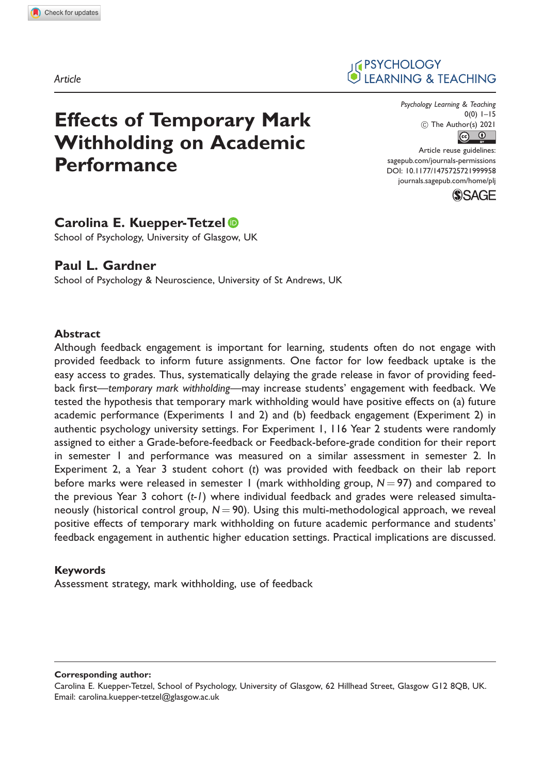Article

# Effects of Temporary Mark Withholding on Academic **Performance**

#### Psychology Learning & Teaching 0(0) 1–15 ! The Author(s) 2021  $\boxed{6}$

**IF PSYCHOLOGY** 

LEARNING & TEACHING

Article reuse guidelines: [sagepub.com/journals-permissions](http://uk.sagepub.com/en-gb/journals-permissions) [DOI: 10.1177/1475725721999958](http://dx.doi.org/10.1177/1475725721999958) <journals.sagepub.com/home/plj>



# Carolina E. Kuepper-Tetzel

School of Psychology, University of Glasgow, UK

## Paul L. Gardner

School of Psychology & Neuroscience, University of St Andrews, UK

#### Abstract

Although feedback engagement is important for learning, students often do not engage with provided feedback to inform future assignments. One factor for low feedback uptake is the easy access to grades. Thus, systematically delaying the grade release in favor of providing feedback first—temporary mark withholding—may increase students' engagement with feedback. We tested the hypothesis that temporary mark withholding would have positive effects on (a) future academic performance (Experiments 1 and 2) and (b) feedback engagement (Experiment 2) in authentic psychology university settings. For Experiment 1, 116 Year 2 students were randomly assigned to either a Grade-before-feedback or Feedback-before-grade condition for their report in semester 1 and performance was measured on a similar assessment in semester 2. In Experiment 2, a Year 3 student cohort (t) was provided with feedback on their lab report before marks were released in semester 1 (mark withholding group,  $N = 97$ ) and compared to the previous Year 3 cohort (t-1) where individual feedback and grades were released simultaneously (historical control group,  $N = 90$ ). Using this multi-methodological approach, we reveal positive effects of temporary mark withholding on future academic performance and students' feedback engagement in authentic higher education settings. Practical implications are discussed.

#### Keywords

Assessment strategy, mark withholding, use of feedback

Corresponding author:

Carolina E. Kuepper-Tetzel, School of Psychology, University of Glasgow, 62 Hillhead Street, Glasgow G12 8QB, UK. Email: [carolina.kuepper-tetzel@glasgow.ac.uk](mailto:carolina.kuepper-tetzel@glasgow.ac.uk)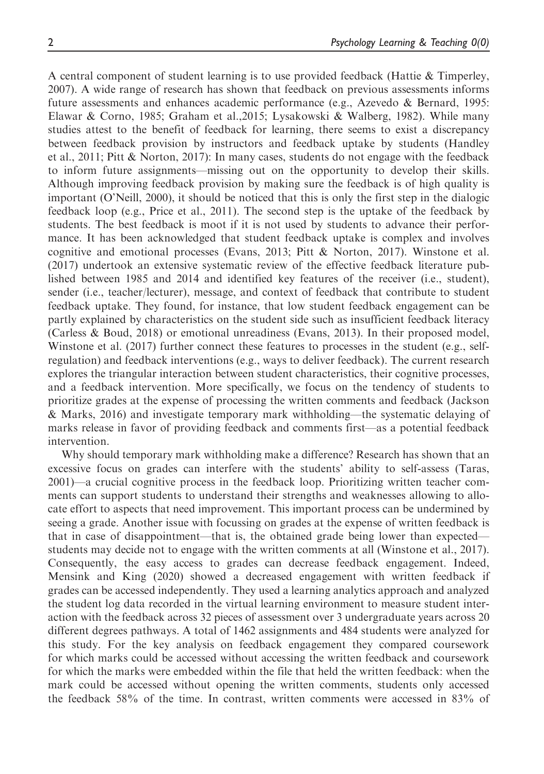A central component of student learning is to use provided feedback (Hattie  $\&$  Timperley, 2007). A wide range of research has shown that feedback on previous assessments informs future assessments and enhances academic performance (e.g., Azevedo & Bernard, 1995: Elawar & Corno, 1985; Graham et al.,2015; Lysakowski & Walberg, 1982). While many studies attest to the benefit of feedback for learning, there seems to exist a discrepancy between feedback provision by instructors and feedback uptake by students (Handley et al., 2011; Pitt & Norton, 2017): In many cases, students do not engage with the feedback to inform future assignments—missing out on the opportunity to develop their skills. Although improving feedback provision by making sure the feedback is of high quality is important (O'Neill, 2000), it should be noticed that this is only the first step in the dialogic feedback loop (e.g., Price et al., 2011). The second step is the uptake of the feedback by students. The best feedback is moot if it is not used by students to advance their performance. It has been acknowledged that student feedback uptake is complex and involves cognitive and emotional processes (Evans, 2013; Pitt & Norton, 2017). Winstone et al. (2017) undertook an extensive systematic review of the effective feedback literature published between 1985 and 2014 and identified key features of the receiver (i.e., student), sender (i.e., teacher/lecturer), message, and context of feedback that contribute to student feedback uptake. They found, for instance, that low student feedback engagement can be partly explained by characteristics on the student side such as insufficient feedback literacy (Carless & Boud, 2018) or emotional unreadiness (Evans, 2013). In their proposed model, Winstone et al. (2017) further connect these features to processes in the student (e.g., selfregulation) and feedback interventions (e.g., ways to deliver feedback). The current research explores the triangular interaction between student characteristics, their cognitive processes, and a feedback intervention. More specifically, we focus on the tendency of students to prioritize grades at the expense of processing the written comments and feedback (Jackson & Marks, 2016) and investigate temporary mark withholding—the systematic delaying of marks release in favor of providing feedback and comments first—as a potential feedback intervention.

Why should temporary mark withholding make a difference? Research has shown that an excessive focus on grades can interfere with the students' ability to self-assess (Taras, 2001)—a crucial cognitive process in the feedback loop. Prioritizing written teacher comments can support students to understand their strengths and weaknesses allowing to allocate effort to aspects that need improvement. This important process can be undermined by seeing a grade. Another issue with focussing on grades at the expense of written feedback is that in case of disappointment—that is, the obtained grade being lower than expected students may decide not to engage with the written comments at all (Winstone et al., 2017). Consequently, the easy access to grades can decrease feedback engagement. Indeed, Mensink and King (2020) showed a decreased engagement with written feedback if grades can be accessed independently. They used a learning analytics approach and analyzed the student log data recorded in the virtual learning environment to measure student interaction with the feedback across 32 pieces of assessment over 3 undergraduate years across 20 different degrees pathways. A total of 1462 assignments and 484 students were analyzed for this study. For the key analysis on feedback engagement they compared coursework for which marks could be accessed without accessing the written feedback and coursework for which the marks were embedded within the file that held the written feedback: when the mark could be accessed without opening the written comments, students only accessed the feedback 58% of the time. In contrast, written comments were accessed in 83% of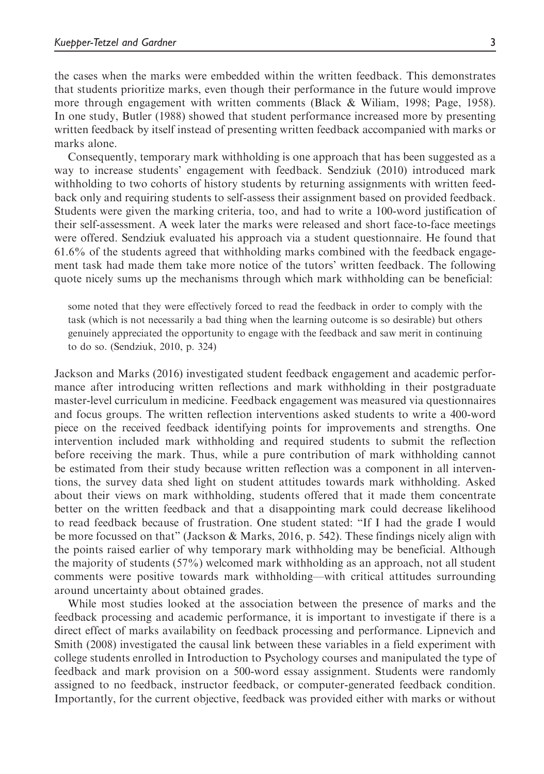the cases when the marks were embedded within the written feedback. This demonstrates that students prioritize marks, even though their performance in the future would improve more through engagement with written comments (Black & Wiliam, 1998; Page, 1958). In one study, Butler (1988) showed that student performance increased more by presenting written feedback by itself instead of presenting written feedback accompanied with marks or marks alone.

Consequently, temporary mark withholding is one approach that has been suggested as a way to increase students' engagement with feedback. Sendziuk (2010) introduced mark withholding to two cohorts of history students by returning assignments with written feedback only and requiring students to self-assess their assignment based on provided feedback. Students were given the marking criteria, too, and had to write a 100-word justification of their self-assessment. A week later the marks were released and short face-to-face meetings were offered. Sendziuk evaluated his approach via a student questionnaire. He found that 61.6% of the students agreed that withholding marks combined with the feedback engagement task had made them take more notice of the tutors' written feedback. The following quote nicely sums up the mechanisms through which mark withholding can be beneficial:

some noted that they were effectively forced to read the feedback in order to comply with the task (which is not necessarily a bad thing when the learning outcome is so desirable) but others genuinely appreciated the opportunity to engage with the feedback and saw merit in continuing to do so. (Sendziuk, 2010, p. 324)

Jackson and Marks (2016) investigated student feedback engagement and academic performance after introducing written reflections and mark withholding in their postgraduate master-level curriculum in medicine. Feedback engagement was measured via questionnaires and focus groups. The written reflection interventions asked students to write a 400-word piece on the received feedback identifying points for improvements and strengths. One intervention included mark withholding and required students to submit the reflection before receiving the mark. Thus, while a pure contribution of mark withholding cannot be estimated from their study because written reflection was a component in all interventions, the survey data shed light on student attitudes towards mark withholding. Asked about their views on mark withholding, students offered that it made them concentrate better on the written feedback and that a disappointing mark could decrease likelihood to read feedback because of frustration. One student stated: "If I had the grade I would be more focussed on that" (Jackson & Marks, 2016, p. 542). These findings nicely align with the points raised earlier of why temporary mark withholding may be beneficial. Although the majority of students (57%) welcomed mark withholding as an approach, not all student comments were positive towards mark withholding—with critical attitudes surrounding around uncertainty about obtained grades.

While most studies looked at the association between the presence of marks and the feedback processing and academic performance, it is important to investigate if there is a direct effect of marks availability on feedback processing and performance. Lipnevich and Smith (2008) investigated the causal link between these variables in a field experiment with college students enrolled in Introduction to Psychology courses and manipulated the type of feedback and mark provision on a 500-word essay assignment. Students were randomly assigned to no feedback, instructor feedback, or computer-generated feedback condition. Importantly, for the current objective, feedback was provided either with marks or without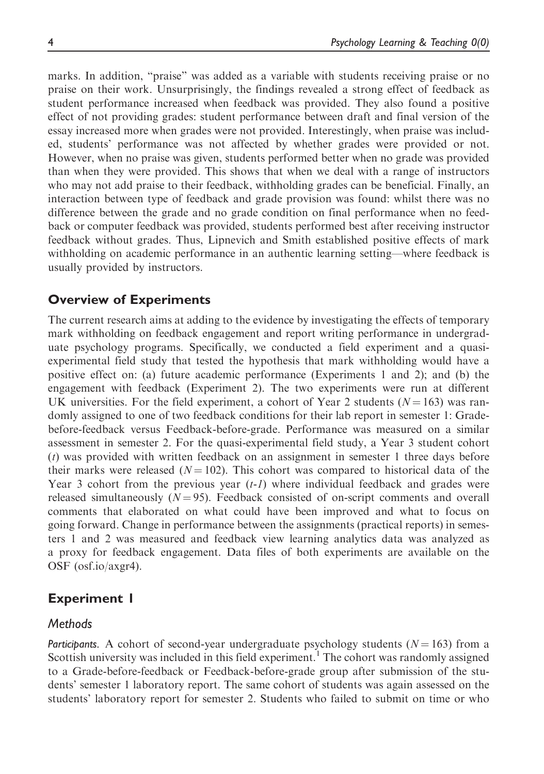marks. In addition, "praise" was added as a variable with students receiving praise or no praise on their work. Unsurprisingly, the findings revealed a strong effect of feedback as student performance increased when feedback was provided. They also found a positive effect of not providing grades: student performance between draft and final version of the essay increased more when grades were not provided. Interestingly, when praise was included, students' performance was not affected by whether grades were provided or not. However, when no praise was given, students performed better when no grade was provided than when they were provided. This shows that when we deal with a range of instructors who may not add praise to their feedback, withholding grades can be beneficial. Finally, an interaction between type of feedback and grade provision was found: whilst there was no difference between the grade and no grade condition on final performance when no feedback or computer feedback was provided, students performed best after receiving instructor feedback without grades. Thus, Lipnevich and Smith established positive effects of mark withholding on academic performance in an authentic learning setting—where feedback is usually provided by instructors.

## Overview of Experiments

The current research aims at adding to the evidence by investigating the effects of temporary mark withholding on feedback engagement and report writing performance in undergraduate psychology programs. Specifically, we conducted a field experiment and a quasiexperimental field study that tested the hypothesis that mark withholding would have a positive effect on: (a) future academic performance (Experiments 1 and 2); and (b) the engagement with feedback (Experiment 2). The two experiments were run at different UK universities. For the field experiment, a cohort of Year 2 students  $(N = 163)$  was randomly assigned to one of two feedback conditions for their lab report in semester 1: Gradebefore-feedback versus Feedback-before-grade. Performance was measured on a similar assessment in semester 2. For the quasi-experimental field study, a Year 3 student cohort (t) was provided with written feedback on an assignment in semester 1 three days before their marks were released  $(N = 102)$ . This cohort was compared to historical data of the Year 3 cohort from the previous year  $(t-1)$  where individual feedback and grades were released simultaneously  $(N = 95)$ . Feedback consisted of on-script comments and overall comments that elaborated on what could have been improved and what to focus on going forward. Change in performance between the assignments (practical reports) in semesters 1 and 2 was measured and feedback view learning analytics data was analyzed as a proxy for feedback engagement. Data files of both experiments are available on the OSF (osf.io/axgr4).

## Experiment 1

#### **Methods**

Participants. A cohort of second-year undergraduate psychology students  $(N = 163)$  from a Scottish university was included in this field experiment.<sup>1</sup> The cohort was randomly assigned to a Grade-before-feedback or Feedback-before-grade group after submission of the students' semester 1 laboratory report. The same cohort of students was again assessed on the students' laboratory report for semester 2. Students who failed to submit on time or who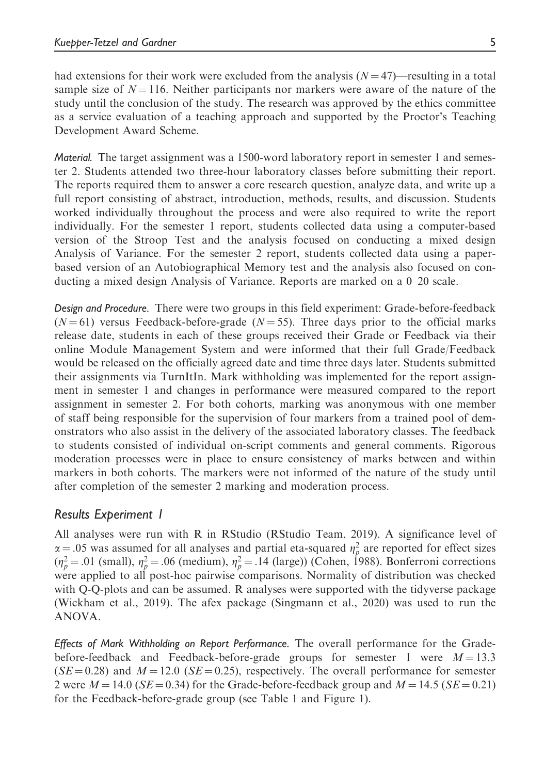had extensions for their work were excluded from the analysis  $(N = 47)$ —resulting in a total sample size of  $N = 116$ . Neither participants nor markers were aware of the nature of the study until the conclusion of the study. The research was approved by the ethics committee as a service evaluation of a teaching approach and supported by the Proctor's Teaching Development Award Scheme.

Material. The target assignment was a 1500-word laboratory report in semester 1 and semester 2. Students attended two three-hour laboratory classes before submitting their report. The reports required them to answer a core research question, analyze data, and write up a full report consisting of abstract, introduction, methods, results, and discussion. Students worked individually throughout the process and were also required to write the report individually. For the semester 1 report, students collected data using a computer-based version of the Stroop Test and the analysis focused on conducting a mixed design Analysis of Variance. For the semester 2 report, students collected data using a paperbased version of an Autobiographical Memory test and the analysis also focused on conducting a mixed design Analysis of Variance. Reports are marked on a 0–20 scale.

Design and Procedure. There were two groups in this field experiment: Grade-before-feedback  $(N=61)$  versus Feedback-before-grade  $(N=55)$ . Three days prior to the official marks release date, students in each of these groups received their Grade or Feedback via their online Module Management System and were informed that their full Grade/Feedback would be released on the officially agreed date and time three days later. Students submitted their assignments via TurnItIn. Mark withholding was implemented for the report assignment in semester 1 and changes in performance were measured compared to the report assignment in semester 2. For both cohorts, marking was anonymous with one member of staff being responsible for the supervision of four markers from a trained pool of demonstrators who also assist in the delivery of the associated laboratory classes. The feedback to students consisted of individual on-script comments and general comments. Rigorous moderation processes were in place to ensure consistency of marks between and within markers in both cohorts. The markers were not informed of the nature of the study until after completion of the semester 2 marking and moderation process.

## Results Experiment 1

All analyses were run with R in RStudio (RStudio Team, 2019). A significance level of  $\alpha = .05$  was assumed for all analyses and partial eta-squared  $\eta_p^2$  are reported for effect sizes  $\mu^2 = 01$  (small)  $\mu^2 = 06$  (medium)  $\mu^2 = 14$  (large)) (Cohen 1988). Bonferroni corrections  $(\eta_p^2 = .01 \text{ (small)}, \eta_p^2 = .06 \text{ (medium)}, \eta_p^2 = .14 \text{ (large)})$  (Cohen, 1988). Bonferroni corrections<br>were applied to all post-boc pairwise comparisons. Normality of distribution was checked were applied to all post-hoc pairwise comparisons. Normality of distribution was checked with Q-Q-plots and can be assumed. R analyses were supported with the tidyverse package (Wickham et al., 2019). The afex package (Singmann et al., 2020) was used to run the ANOVA.

Effects of Mark Withholding on Report Performance. The overall performance for the Gradebefore-feedback and Feedback-before-grade groups for semester 1 were  $M = 13.3$  $(SE = 0.28)$  and  $M = 12.0$  ( $SE = 0.25$ ), respectively. The overall performance for semester 2 were  $M = 14.0$  (SE  $= 0.34$ ) for the Grade-before-feedback group and  $M = 14.5$  (SE  $= 0.21$ ) for the Feedback-before-grade group (see Table 1 and Figure 1).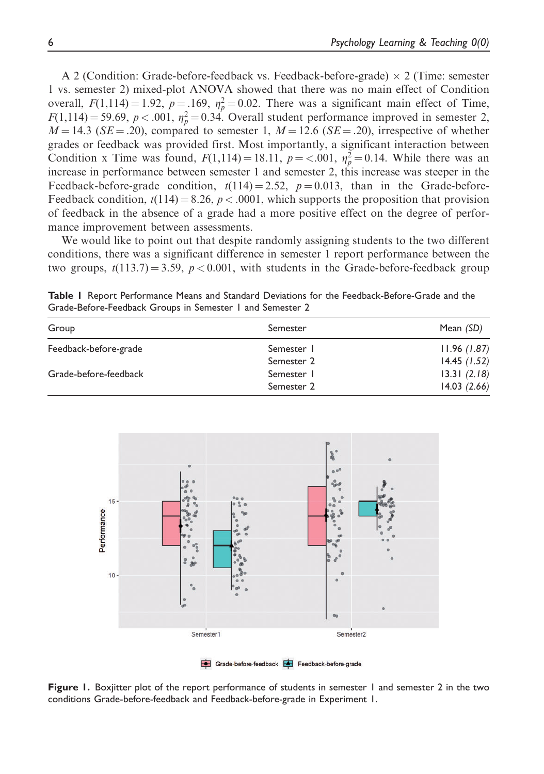A 2 (Condition: Grade-before-feedback vs. Feedback-before-grade)  $\times$  2 (Time: semester 1 vs. semester 2) mixed-plot ANOVA showed that there was no main effect of Condition overall,  $F(1,114) = 1.92$ ,  $p = .169$ ,  $\eta_p^2 = 0.02$ . There was a significant main effect of Time,<br> $F(1,114) = 59.69$ ,  $p < 0.01$ ,  $p^2 = 0.34$ . Overall student performance improved in semester 2.  $F(1,114) = 59.69, p < .001, \eta_p^2 = 0.34$ . Overall student performance improved in semester 2,<br> $M = 14.3$  (SE – 20) compared to semester 1,  $M = 12.6$  (SE – 20) irrespective of whether  $M = 14.3$  (SE = .20), compared to semester 1,  $M = 12.6$  (SE = .20), irrespective of whether grades or feedback was provided first. Most importantly, a significant interaction between Condition x Time was found,  $F(1,114) = 18.11$ ,  $p = <.001$ ,  $\eta_p^2 = 0.14$ . While there was an increase in performance between semester 1 and semester 2, this increase was steener in the increase in performance between semester 1 and semester 2, this increase was steeper in the Feedback-before-grade condition,  $t(114) = 2.52$ ,  $p = 0.013$ , than in the Grade-before-Feedback condition,  $t(114) = 8.26$ ,  $p < .0001$ , which supports the proposition that provision of feedback in the absence of a grade had a more positive effect on the degree of performance improvement between assessments.

We would like to point out that despite randomly assigning students to the two different conditions, there was a significant difference in semester 1 report performance between the two groups,  $t(113.7) = 3.59$ ,  $p < 0.001$ , with students in the Grade-before-feedback group

Table I Report Performance Means and Standard Deviations for the Feedback-Before-Grade and the Grade-Before-Feedback Groups in Semester 1 and Semester 2

| Group                 | Semester   | Mean (SD)   |
|-----------------------|------------|-------------|
| Feedback-before-grade | Semester 1 | 11.96(1.87) |
|                       | Semester 2 | 14.45(1.52) |
| Grade-before-feedback | Semester 1 | 13.31(2.18) |
|                       | Semester 2 | 14.03(2.66) |



Figure 1. Boxjitter plot of the report performance of students in semester 1 and semester 2 in the two conditions Grade-before-feedback and Feedback-before-grade in Experiment 1.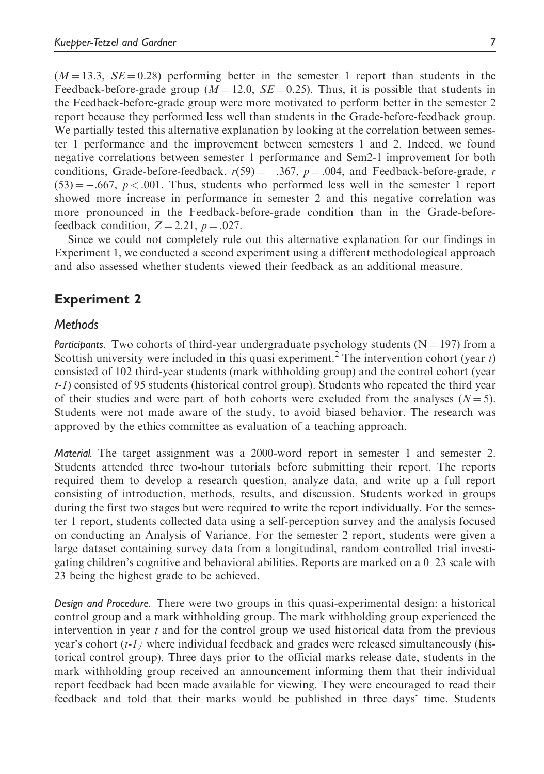$(M = 13.3, SE = 0.28)$  performing better in the semester 1 report than students in the Feedback-before-grade group ( $M = 12.0$ ,  $SE = 0.25$ ). Thus, it is possible that students in the Feedback-before-grade group were more motivated to perform better in the semester 2 report because they performed less well than students in the Grade-before-feedback group. We partially tested this alternative explanation by looking at the correlation between semester 1 performance and the improvement between semesters 1 and 2. Indeed, we found negative correlations between semester 1 performance and Sem2-1 improvement for both conditions, Grade-before-feedback,  $r(59) = -.367$ ,  $p = .004$ , and Feedback-before-grade, r  $(53) = -.667, p < .001$ . Thus, students who performed less well in the semester 1 report showed more increase in performance in semester 2 and this negative correlation was more pronounced in the Feedback-before-grade condition than in the Grade-beforefeedback condition,  $Z = 2.21$ ,  $p = .027$ .

Since we could not completely rule out this alternative explanation for our findings in Experiment 1, we conducted a second experiment using a different methodological approach and also assessed whether students viewed their feedback as an additional measure.

## Experiment 2

#### **Methods**

Participants. Two cohorts of third-year undergraduate psychology students ( $N = 197$ ) from a Scottish university were included in this quasi experiment.<sup>2</sup> The intervention cohort (year t) consisted of 102 third-year students (mark withholding group) and the control cohort (year t-1) consisted of 95 students (historical control group). Students who repeated the third year of their studies and were part of both cohorts were excluded from the analyses  $(N = 5)$ . Students were not made aware of the study, to avoid biased behavior. The research was approved by the ethics committee as evaluation of a teaching approach.

Material. The target assignment was a 2000-word report in semester 1 and semester 2. Students attended three two-hour tutorials before submitting their report. The reports required them to develop a research question, analyze data, and write up a full report consisting of introduction, methods, results, and discussion. Students worked in groups during the first two stages but were required to write the report individually. For the semester 1 report, students collected data using a self-perception survey and the analysis focused on conducting an Analysis of Variance. For the semester 2 report, students were given a large dataset containing survey data from a longitudinal, random controlled trial investigating children's cognitive and behavioral abilities. Reports are marked on a 0–23 scale with 23 being the highest grade to be achieved.

Design and Procedure. There were two groups in this quasi-experimental design: a historical control group and a mark withholding group. The mark withholding group experienced the intervention in year  $t$  and for the control group we used historical data from the previous year's cohort (t-1) where individual feedback and grades were released simultaneously (historical control group). Three days prior to the official marks release date, students in the mark withholding group received an announcement informing them that their individual report feedback had been made available for viewing. They were encouraged to read their feedback and told that their marks would be published in three days' time. Students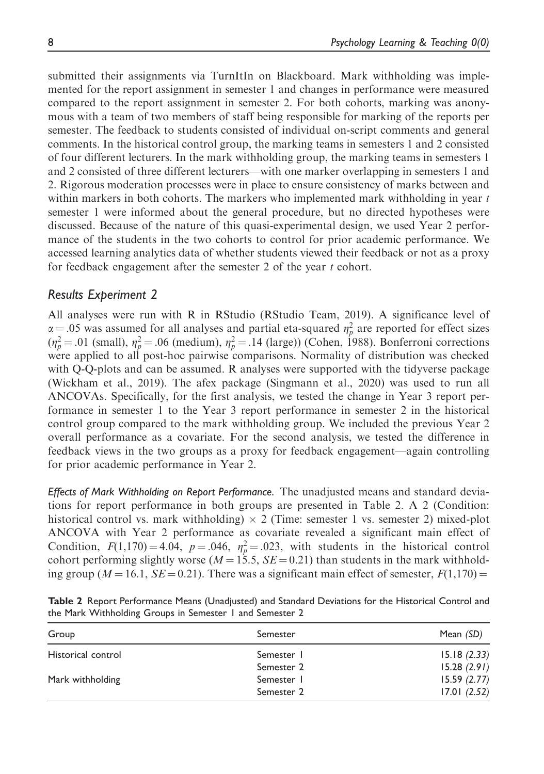submitted their assignments via TurnItIn on Blackboard. Mark withholding was implemented for the report assignment in semester 1 and changes in performance were measured compared to the report assignment in semester 2. For both cohorts, marking was anonymous with a team of two members of staff being responsible for marking of the reports per semester. The feedback to students consisted of individual on-script comments and general comments. In the historical control group, the marking teams in semesters 1 and 2 consisted of four different lecturers. In the mark withholding group, the marking teams in semesters 1 and 2 consisted of three different lecturers—with one marker overlapping in semesters 1 and 2. Rigorous moderation processes were in place to ensure consistency of marks between and within markers in both cohorts. The markers who implemented mark withholding in year t semester 1 were informed about the general procedure, but no directed hypotheses were discussed. Because of the nature of this quasi-experimental design, we used Year 2 performance of the students in the two cohorts to control for prior academic performance. We accessed learning analytics data of whether students viewed their feedback or not as a proxy for feedback engagement after the semester 2 of the year t cohort.

### Results Experiment 2

All analyses were run with R in RStudio (RStudio Team, 2019). A significance level of  $\alpha = .05$  was assumed for all analyses and partial eta-squared  $\eta_p^2$  are reported for effect sizes  $\mu^2 = 01$  (small)  $\mu^2 = 06$  (medium)  $\mu^2 = 14$  (large)) (Coben 1988). Bonferroni corrections  $(\eta_p^2 = .01 \text{ (small)}, \eta_p^2 = .06 \text{ (medium)}, \eta_p^2 = .14 \text{ (large)})$  (Cohen, 1988). Bonferroni corrections<br>were applied to all post-boc pairwise comparisons. Normality of distribution was checked were applied to all post-hoc pairwise comparisons. Normality of distribution was checked with Q-Q-plots and can be assumed. R analyses were supported with the tidyverse package (Wickham et al., 2019). The afex package (Singmann et al., 2020) was used to run all ANCOVAs. Specifically, for the first analysis, we tested the change in Year 3 report performance in semester 1 to the Year 3 report performance in semester 2 in the historical control group compared to the mark withholding group. We included the previous Year 2 overall performance as a covariate. For the second analysis, we tested the difference in feedback views in the two groups as a proxy for feedback engagement—again controlling for prior academic performance in Year 2.

Effects of Mark Withholding on Report Performance. The unadjusted means and standard deviations for report performance in both groups are presented in Table 2. A 2 (Condition: historical control vs. mark withholding)  $\times$  2 (Time: semester 1 vs. semester 2) mixed-plot ANCOVA with Year 2 performance as covariate revealed a significant main effect of Condition,  $F(1,170) = 4.04$ ,  $p = .046$ ,  $\eta_p^2 = .023$ , with students in the historical control<br>cohort performing slightly worse  $(M-155 \text{ S}F - 0.21)$  than students in the mark withholdcohort performing slightly worse ( $M = 15.5$ ,  $SE = 0.21$ ) than students in the mark withholding group ( $M = 16.1$ ,  $SE = 0.21$ ). There was a significant main effect of semester,  $F(1,170) =$ 

| Table 2 Report Performance Means (Unadjusted) and Standard Deviations for the Historical Control and |  |  |  |  |
|------------------------------------------------------------------------------------------------------|--|--|--|--|
| the Mark Withholding Groups in Semester 1 and Semester 2                                             |  |  |  |  |

| Group              | Semester   | Mean (SD)   |
|--------------------|------------|-------------|
| Historical control | Semester 1 | 15.18(2.33) |
|                    | Semester 2 | 15.28(2.91) |
| Mark withholding   | Semester 1 | 15.59(2.77) |
|                    | Semester 2 | 17.01(2.52) |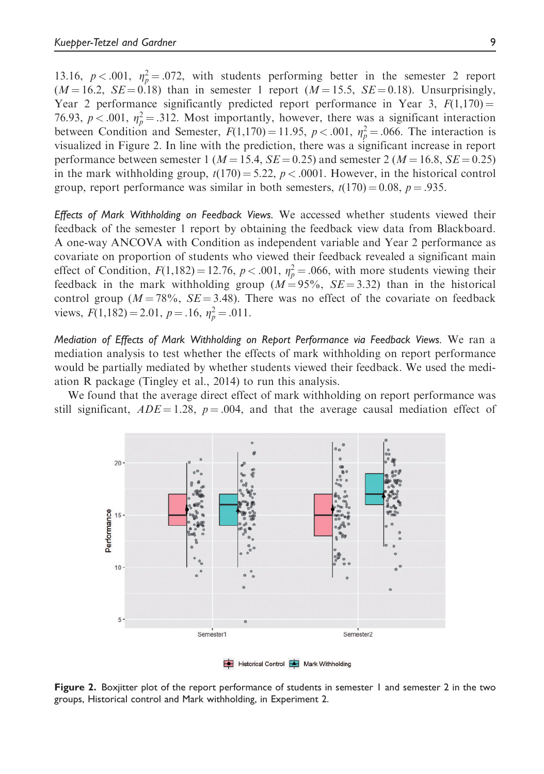13.16,  $p < .001$ ,  $\eta_p^2 = .072$ , with students performing better in the semester 2 report  $(M-162 \text{ S}F - 0.18)$  than in semester 1 report  $(M-155 \text{ S}F - 0.18)$  Unsurprisingly  $(M = 16.2, SE = 0.18)$  than in semester 1 report  $(M = 15.5, SE = 0.18)$ . Unsurprisingly, Year 2 performance significantly predicted report performance in Year 3,  $F(1,170) =$ 76.93,  $p < .001$ ,  $\eta_p^2 = .312$ . Most importantly, however, there was a significant interaction<br>between Condition and Semester,  $F(1\ 170) = 11.95$ ,  $p < .001$ ,  $n^2 = .066$ . The interaction is between Condition and Semester,  $F(1,170) = 11.95$ ,  $p < .001$ ,  $\eta_p^2 = .066$ . The interaction is<br>visualized in Figure 2. In line with the prediction, there was a significant increase in report visualized in Figure 2. In line with the prediction, there was a significant increase in report performance between semester 1 ( $M = 15.4$ ,  $SE = 0.25$ ) and semester 2 ( $M = 16.8$ ,  $SE = 0.25$ ) in the mark withholding group,  $t(170) = 5.22$ ,  $p < .0001$ . However, in the historical control group, report performance was similar in both semesters,  $t(170) = 0.08$ ,  $p = .935$ .

Effects of Mark Withholding on Feedback Views. We accessed whether students viewed their feedback of the semester 1 report by obtaining the feedback view data from Blackboard. A one-way ANCOVA with Condition as independent variable and Year 2 performance as covariate on proportion of students who viewed their feedback revealed a significant main effect of Condition,  $F(1,182) = 12.76$ ,  $p < .001$ ,  $\eta_p^2 = .066$ , with more students viewing their<br>feedback in the mark withholding group  $(M - 95\% \text{ S}F - 3.32)$ , than in the historical feedback in the mark withholding group  $(M = 95\%, SE = 3.32)$  than in the historical control group ( $M = 78\%$ ,  $SE = 3.48$ ). There was no effect of the covariate on feedback views,  $F(1,182) = 2.01$ ,  $p = .16$ ,  $\eta_p^2 = .011$ .

Mediation of Effects of Mark Withholding on Report Performance via Feedback Views. We ran a mediation analysis to test whether the effects of mark withholding on report performance would be partially mediated by whether students viewed their feedback. We used the mediation R package (Tingley et al., 2014) to run this analysis.

We found that the average direct effect of mark withholding on report performance was still significant,  $ADE = 1.28$ ,  $p = .004$ , and that the average causal mediation effect of



Figure 2. Boxjitter plot of the report performance of students in semester 1 and semester 2 in the two groups, Historical control and Mark withholding, in Experiment 2.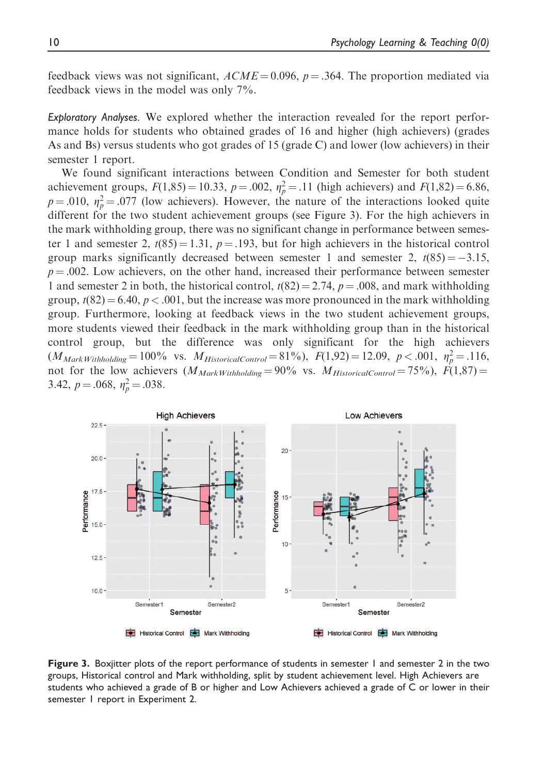feedback views was not significant,  $ACME = 0.096$ ,  $p = .364$ . The proportion mediated via feedback views in the model was only 7%.

Exploratory Analyses. We explored whether the interaction revealed for the report performance holds for students who obtained grades of 16 and higher (high achievers) (grades As and Bs) versus students who got grades of 15 (grade C) and lower (low achievers) in their semester 1 report.

We found significant interactions between Condition and Semester for both student achievement groups,  $F(1,85) = 10.33$ ,  $p = .002$ ,  $\eta_p^2 = .11$  (high achievers) and  $F(1,82) = 6.86$ , n = 0.10,  $r^2 = .077$  (low achievers). However, the nature of the interactions looked quite  $p = .010$ ,  $\eta_p^2 = .077$  (low achievers). However, the nature of the interactions looked quite<br>different for the two student achievement groups (see Figure 3). For the high achievers in different for the two student achievement groups (see Figure 3). For the high achievers in the mark withholding group, there was no significant change in performance between semester 1 and semester 2,  $t(85) = 1.31$ ,  $p = .193$ , but for high achievers in the historical control group marks significantly decreased between semester 1 and semester 2,  $t(85) = -3.15$ ,  $p = .002$ . Low achievers, on the other hand, increased their performance between semester 1 and semester 2 in both, the historical control,  $t(82) = 2.74$ ,  $p = .008$ , and mark withholding group,  $t(82) = 6.40, p < .001$ , but the increase was more pronounced in the mark withholding group. Furthermore, looking at feedback views in the two student achievement groups, more students viewed their feedback in the mark withholding group than in the historical control group, but the difference was only significant for the high achievers  $(M_{MarkWitholding} = 100\%$  vs.  $M_{HistoricalControl} = 81\%$ ,  $F(1,92) = 12.09$ ,  $p < .001$ ,  $\eta_p^2 = .116$ , not for the low schievers  $(M_{12,100})_{12.00} = 0.0\%$  vs.  $M_{21,100} = 75\%$ .  $F(1,87) =$ not for the low achievers  $(M_{MarkWithholding} = 90\%$  vs.  $M_{HistoricalControl} = 75\%$ ,  $F(1,87) =$ 3.42,  $p = .068$ ,  $\eta_p^2 = .038$ .



Figure 3. Boxjitter plots of the report performance of students in semester 1 and semester 2 in the two groups, Historical control and Mark withholding, split by student achievement level. High Achievers are students who achieved a grade of B or higher and Low Achievers achieved a grade of C or lower in their semester 1 report in Experiment 2.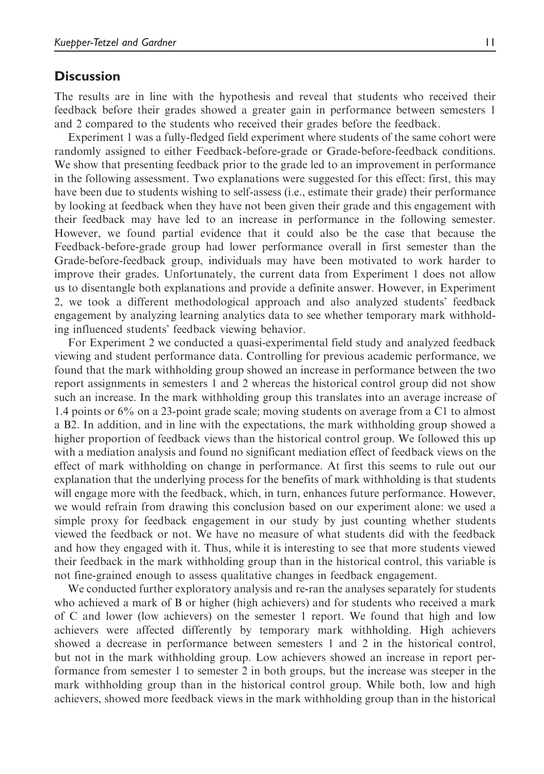#### **Discussion**

The results are in line with the hypothesis and reveal that students who received their feedback before their grades showed a greater gain in performance between semesters 1 and 2 compared to the students who received their grades before the feedback.

Experiment 1 was a fully-fledged field experiment where students of the same cohort were randomly assigned to either Feedback-before-grade or Grade-before-feedback conditions. We show that presenting feedback prior to the grade led to an improvement in performance in the following assessment. Two explanations were suggested for this effect: first, this may have been due to students wishing to self-assess (i.e., estimate their grade) their performance by looking at feedback when they have not been given their grade and this engagement with their feedback may have led to an increase in performance in the following semester. However, we found partial evidence that it could also be the case that because the Feedback-before-grade group had lower performance overall in first semester than the Grade-before-feedback group, individuals may have been motivated to work harder to improve their grades. Unfortunately, the current data from Experiment 1 does not allow us to disentangle both explanations and provide a definite answer. However, in Experiment 2, we took a different methodological approach and also analyzed students' feedback engagement by analyzing learning analytics data to see whether temporary mark withholding influenced students' feedback viewing behavior.

For Experiment 2 we conducted a quasi-experimental field study and analyzed feedback viewing and student performance data. Controlling for previous academic performance, we found that the mark withholding group showed an increase in performance between the two report assignments in semesters 1 and 2 whereas the historical control group did not show such an increase. In the mark withholding group this translates into an average increase of 1.4 points or 6% on a 23-point grade scale; moving students on average from a C1 to almost a B2. In addition, and in line with the expectations, the mark withholding group showed a higher proportion of feedback views than the historical control group. We followed this up with a mediation analysis and found no significant mediation effect of feedback views on the effect of mark withholding on change in performance. At first this seems to rule out our explanation that the underlying process for the benefits of mark withholding is that students will engage more with the feedback, which, in turn, enhances future performance. However, we would refrain from drawing this conclusion based on our experiment alone: we used a simple proxy for feedback engagement in our study by just counting whether students viewed the feedback or not. We have no measure of what students did with the feedback and how they engaged with it. Thus, while it is interesting to see that more students viewed their feedback in the mark withholding group than in the historical control, this variable is not fine-grained enough to assess qualitative changes in feedback engagement.

We conducted further exploratory analysis and re-ran the analyses separately for students who achieved a mark of B or higher (high achievers) and for students who received a mark of C and lower (low achievers) on the semester 1 report. We found that high and low achievers were affected differently by temporary mark withholding. High achievers showed a decrease in performance between semesters 1 and 2 in the historical control, but not in the mark withholding group. Low achievers showed an increase in report performance from semester 1 to semester 2 in both groups, but the increase was steeper in the mark withholding group than in the historical control group. While both, low and high achievers, showed more feedback views in the mark withholding group than in the historical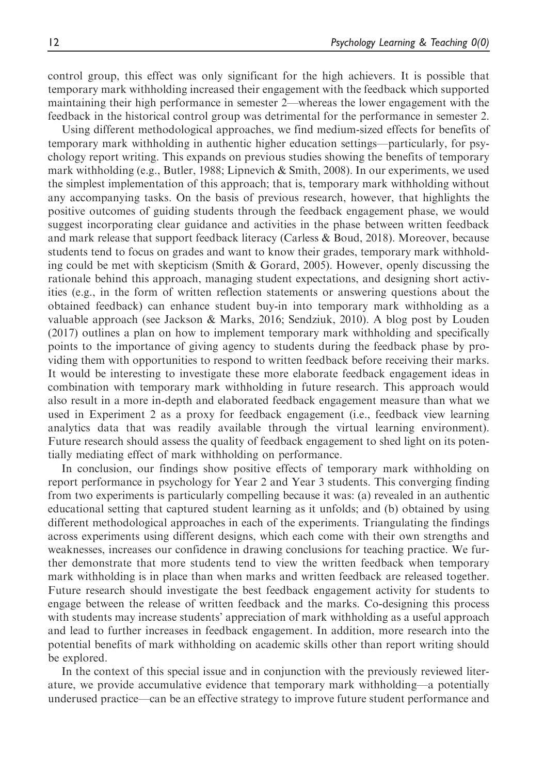control group, this effect was only significant for the high achievers. It is possible that temporary mark withholding increased their engagement with the feedback which supported maintaining their high performance in semester 2—whereas the lower engagement with the feedback in the historical control group was detrimental for the performance in semester 2.

Using different methodological approaches, we find medium-sized effects for benefits of temporary mark withholding in authentic higher education settings—particularly, for psychology report writing. This expands on previous studies showing the benefits of temporary mark withholding (e.g., Butler, 1988; Lipnevich & Smith, 2008). In our experiments, we used the simplest implementation of this approach; that is, temporary mark withholding without any accompanying tasks. On the basis of previous research, however, that highlights the positive outcomes of guiding students through the feedback engagement phase, we would suggest incorporating clear guidance and activities in the phase between written feedback and mark release that support feedback literacy (Carless & Boud, 2018). Moreover, because students tend to focus on grades and want to know their grades, temporary mark withholding could be met with skepticism (Smith & Gorard, 2005). However, openly discussing the rationale behind this approach, managing student expectations, and designing short activities (e.g., in the form of written reflection statements or answering questions about the obtained feedback) can enhance student buy-in into temporary mark withholding as a valuable approach (see Jackson & Marks, 2016; Sendziuk, 2010). A blog post by Louden (2017) outlines a plan on how to implement temporary mark withholding and specifically points to the importance of giving agency to students during the feedback phase by providing them with opportunities to respond to written feedback before receiving their marks. It would be interesting to investigate these more elaborate feedback engagement ideas in combination with temporary mark withholding in future research. This approach would also result in a more in-depth and elaborated feedback engagement measure than what we used in Experiment 2 as a proxy for feedback engagement (i.e., feedback view learning analytics data that was readily available through the virtual learning environment). Future research should assess the quality of feedback engagement to shed light on its potentially mediating effect of mark withholding on performance.

In conclusion, our findings show positive effects of temporary mark withholding on report performance in psychology for Year 2 and Year 3 students. This converging finding from two experiments is particularly compelling because it was: (a) revealed in an authentic educational setting that captured student learning as it unfolds; and (b) obtained by using different methodological approaches in each of the experiments. Triangulating the findings across experiments using different designs, which each come with their own strengths and weaknesses, increases our confidence in drawing conclusions for teaching practice. We further demonstrate that more students tend to view the written feedback when temporary mark withholding is in place than when marks and written feedback are released together. Future research should investigate the best feedback engagement activity for students to engage between the release of written feedback and the marks. Co-designing this process with students may increase students' appreciation of mark withholding as a useful approach and lead to further increases in feedback engagement. In addition, more research into the potential benefits of mark withholding on academic skills other than report writing should be explored.

In the context of this special issue and in conjunction with the previously reviewed literature, we provide accumulative evidence that temporary mark withholding—a potentially underused practice—can be an effective strategy to improve future student performance and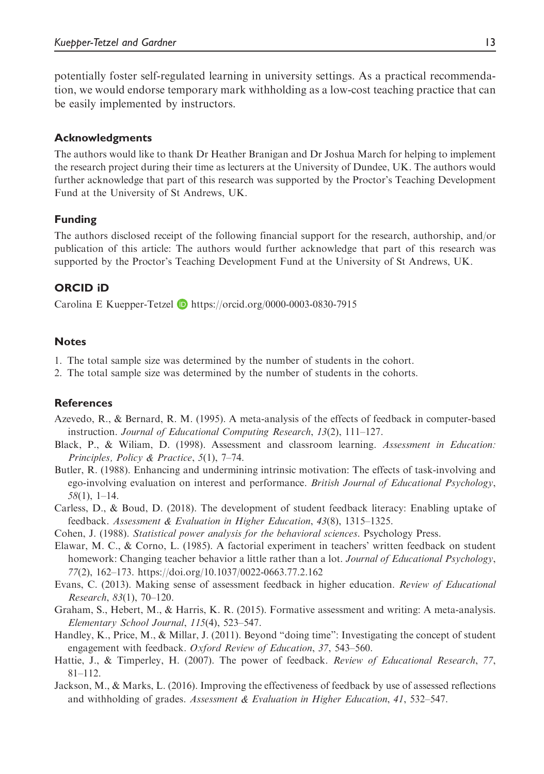potentially foster self-regulated learning in university settings. As a practical recommendation, we would endorse temporary mark withholding as a low-cost teaching practice that can be easily implemented by instructors.

#### Acknowledgments

The authors would like to thank Dr Heather Branigan and Dr Joshua March for helping to implement the research project during their time as lecturers at the University of Dundee, UK. The authors would further acknowledge that part of this research was supported by the Proctor's Teaching Development Fund at the University of St Andrews, UK.

## Funding

The authors disclosed receipt of the following financial support for the research, authorship, and/or publication of this article: The authors would further acknowledge that part of this research was supported by the Proctor's Teaching Development Fund at the University of St Andrews, UK.

## ORCID iD

Carolina E Kuepper-Tetzel D <https://orcid.org/0000-0003-0830-7915>

### **Notes**

- 1. The total sample size was determined by the number of students in the cohort.
- 2. The total sample size was determined by the number of students in the cohorts.

#### **References**

- Azevedo, R., & Bernard, R. M. (1995). A meta-analysis of the effects of feedback in computer-based instruction. Journal of Educational Computing Research, 13(2), 111–127.
- Black, P., & Wiliam, D. (1998). Assessment and classroom learning. Assessment in Education: Principles, Policy & Practice, 5(1), 7–74.
- Butler, R. (1988). Enhancing and undermining intrinsic motivation: The effects of task-involving and ego-involving evaluation on interest and performance. British Journal of Educational Psychology, 58(1), 1–14.
- Carless, D., & Boud, D. (2018). The development of student feedback literacy: Enabling uptake of feedback. Assessment & Evaluation in Higher Education, 43(8), 1315–1325.
- Cohen, J. (1988). Statistical power analysis for the behavioral sciences. Psychology Press.
- Elawar, M. C., & Corno, L. (1985). A factorial experiment in teachers' written feedback on student homework: Changing teacher behavior a little rather than a lot. Journal of Educational Psychology, 77(2), 162–173.<https://doi.org/10.1037/0022-0663.77.2.162>
- Evans, C. (2013). Making sense of assessment feedback in higher education. Review of Educational Research, 83(1), 70–120.
- Graham, S., Hebert, M., & Harris, K. R. (2015). Formative assessment and writing: A meta-analysis. Elementary School Journal, 115(4), 523–547.
- Handley, K., Price, M., & Millar, J. (2011). Beyond "doing time": Investigating the concept of student engagement with feedback. Oxford Review of Education, 37, 543–560.
- Hattie, J., & Timperley, H. (2007). The power of feedback. Review of Educational Research, 77, 81–112.
- Jackson, M., & Marks, L. (2016). Improving the effectiveness of feedback by use of assessed reflections and withholding of grades. Assessment & Evaluation in Higher Education, 41, 532–547.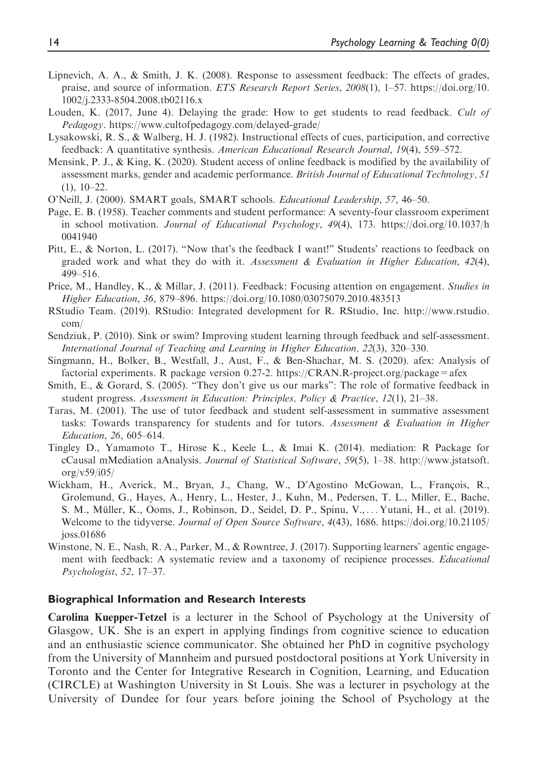- Lipnevich, A. A., & Smith, J. K. (2008). Response to assessment feedback: The effects of grades, praise, and source of information. ETS Research Report Series, 2008(1), 1–57. [https://doi.org/10.](https://doi.org/10.1002/j.2333-8504.2008.tb02116.x) [1002/j.2333-8504.2008.tb02116.x](https://doi.org/10.1002/j.2333-8504.2008.tb02116.x)
- Louden, K. (2017, June 4). Delaying the grade: How to get students to read feedback. Cult of Pedagogy. <https://www.cultofpedagogy.com/delayed-grade/>
- Lysakowski, R. S., & Walberg, H. J. (1982). Instructional effects of cues, participation, and corrective feedback: A quantitative synthesis. American Educational Research Journal, 19(4), 559–572.
- Mensink, P. J., & King, K. (2020). Student access of online feedback is modified by the availability of assessment marks, gender and academic performance. British Journal of Educational Technology, 51  $(1), 10-22.$
- O'Neill, J. (2000). SMART goals, SMART schools. Educational Leadership, 57, 46–50.
- Page, E. B. (1958). Teacher comments and student performance: A seventy-four classroom experiment in school motivation. Journal of Educational Psychology, 49(4), 173. [https://doi.org/10.1037/h](https://doi.org/10.1037/h0041940) [0041940](https://doi.org/10.1037/h0041940)
- Pitt, E., & Norton, L. (2017). "Now that's the feedback I want!" Students' reactions to feedback on graded work and what they do with it. Assessment  $\&$  Evaluation in Higher Education, 42(4), 499–516.
- Price, M., Handley, K., & Millar, J. (2011). Feedback: Focusing attention on engagement. Studies in Higher Education, 36, 879–896.<https://doi.org/10.1080/03075079.2010.483513>
- RStudio Team. (2019). RStudio: Integrated development for R. RStudio, Inc. [http://www.rstudio.](http://www.rstudio.com/) [com/](http://www.rstudio.com/)
- Sendziuk, P. (2010). Sink or swim? Improving student learning through feedback and self-assessment. International Journal of Teaching and Learning in Higher Education, 22(3), 320–330.
- Singmann, H., Bolker, B., Westfall, J., Aust, F., & Ben-Shachar, M. S. (2020). afex: Analysis of factorial experiments. R package version 0.27-2.<https://CRAN.R-project.org/package=afex>
- Smith, E., & Gorard, S. (2005). "They don't give us our marks": The role of formative feedback in student progress. Assessment in Education: Principles, Policy & Practice, 12(1), 21–38.
- Taras, M. (2001). The use of tutor feedback and student self-assessment in summative assessment tasks: Towards transparency for students and for tutors. Assessment & Evaluation in Higher Education, 26, 605–614.
- Tingley D., Yamamoto T., Hirose K., Keele L., & Imai K. (2014). mediation: R Package for cCausal mMediation aAnalysis. Journal of Statistical Software, 59(5), 1–38. [http://www.jstatsoft.](http://www.jstatsoft.org/v59/i05/) [org/v59/i05/](http://www.jstatsoft.org/v59/i05/)
- Wickham, H., Averick, M., Bryan, J., Chang, W., D'Agostino McGowan, L., François, R., Grolemund, G., Hayes, A., Henry, L., Hester, J., Kuhn, M., Pedersen, T. L., Miller, E., Bache, S. M., Müller, K., Ooms, J., Robinson, D., Seidel, D. P., Spinu, V., ... Yutani, H., et al. (2019). Welcome to the tidyverse. Journal of Open Source Software, 4(43), 1686. [https://doi.org/10.21105/](https://doi.org/10.21105/joss.01686) [joss.01686](https://doi.org/10.21105/joss.01686)
- Winstone, N. E., Nash, R. A., Parker, M., & Rowntree, J. (2017). Supporting learners' agentic engagement with feedback: A systematic review and a taxonomy of recipience processes. Educational Psychologist, 52, 17–37.

#### Biographical Information and Research Interests

Carolina Kuepper-Tetzel is a lecturer in the School of Psychology at the University of Glasgow, UK. She is an expert in applying findings from cognitive science to education and an enthusiastic science communicator. She obtained her PhD in cognitive psychology from the University of Mannheim and pursued postdoctoral positions at York University in Toronto and the Center for Integrative Research in Cognition, Learning, and Education (CIRCLE) at Washington University in St Louis. She was a lecturer in psychology at the University of Dundee for four years before joining the School of Psychology at the